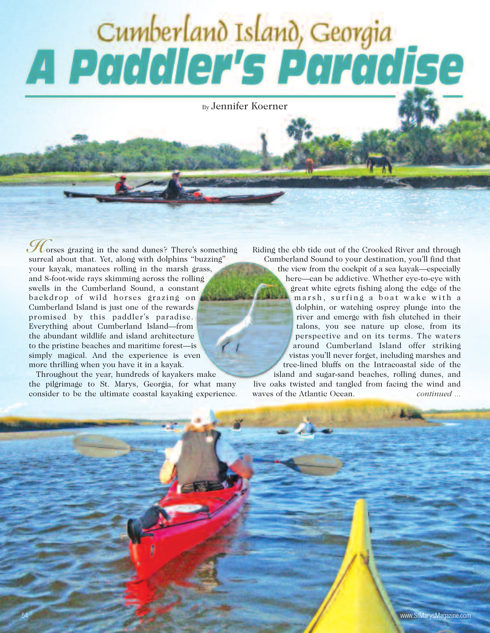## Cumberland Island, Georgia<br>A Paddler's Paradise

By Jennifer Koerner

orses grazing in the sand dunes? There's something **H** surreal about that. Yet, along with dolphins "buzzing" your kayak, manatees rolling in the marsh grass, and 8-foot-wide rays skimming across the rolling swells in the Cumberland Sound, a constant backdrop of wild horses grazing on Cumberland Island is just one of the rewards promised by this paddler's paradise. Everything about Cumberland Island—from the abundant wildlife and island architecture to the pristine beaches and maritime forest—is simply magical. And the experience is even more thrilling when you have it in a kayak.

Throughout the year, hundreds of kayakers make the pilgrimage to St. Marys, Georgia, for what many consider to be the ultimate coastal kayaking experience. Riding the ebb tide out of the Crooked River and through Cumberland Sound to your destination, you'll find that the view from the cockpit of a sea kayak—especially here—can be addictive. Whether eye-to-eye with great white egrets fishing along the edge of the marsh, surfing a boat wake with a dolphin, or watching osprey plunge into the river and emerge with fish clutched in their talons, you see nature up close, from its perspective and on its terms. The waters around Cumberland Island offer striking vistas you'll never forget, including marshes and tree-lined bluffs on the Intracoastal side of the island and sugar-sand beaches, rolling dunes, and

live oaks twisted and tangled from facing the wind and waves of the Atlantic Ocean. *continued ...*